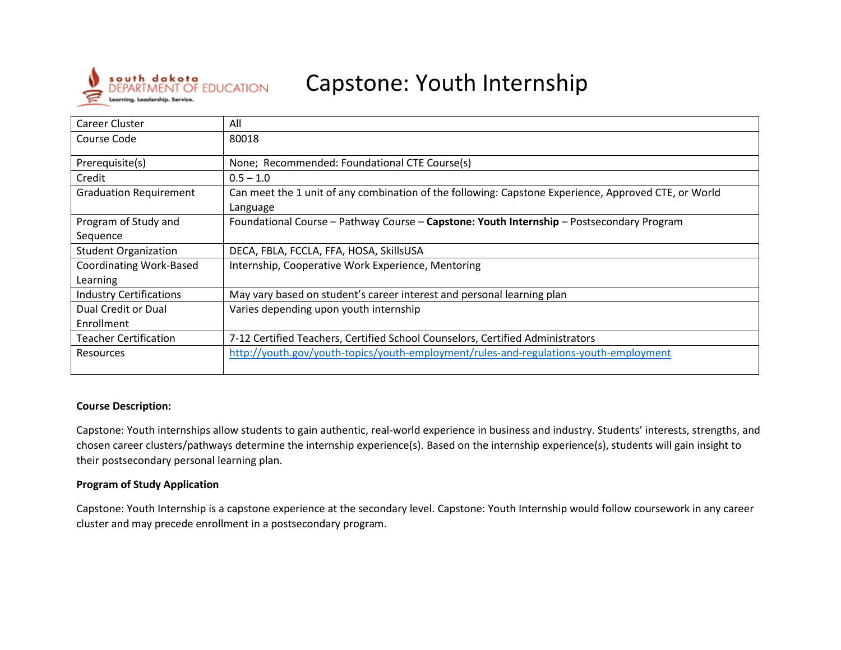

# Capstone: Youth Internship

| Career Cluster                 | All                                                                                                              |
|--------------------------------|------------------------------------------------------------------------------------------------------------------|
| Course Code                    | 80018                                                                                                            |
| Prerequisite(s)                | None; Recommended: Foundational CTE Course(s)                                                                    |
| Credit                         | $0.5 - 1.0$                                                                                                      |
| <b>Graduation Requirement</b>  | Can meet the 1 unit of any combination of the following: Capstone Experience, Approved CTE, or World<br>Language |
| Program of Study and           | Foundational Course - Pathway Course - Capstone: Youth Internship - Postsecondary Program                        |
| Sequence                       |                                                                                                                  |
| <b>Student Organization</b>    | DECA, FBLA, FCCLA, FFA, HOSA, SkillsUSA                                                                          |
| <b>Coordinating Work-Based</b> | Internship, Cooperative Work Experience, Mentoring                                                               |
| Learning                       |                                                                                                                  |
| <b>Industry Certifications</b> | May vary based on student's career interest and personal learning plan                                           |
| Dual Credit or Dual            | Varies depending upon youth internship                                                                           |
| Enrollment                     |                                                                                                                  |
| Teacher Certification          | 7-12 Certified Teachers, Certified School Counselors, Certified Administrators                                   |
| Resources                      | http://youth.gov/youth-topics/youth-employment/rules-and-regulations-youth-employment                            |

#### **Course Description:**

Capstone: Youth internships allow students to gain authentic, real-world experience in business and industry. Students' interests, strengths, and chosen career clusters/pathways determine the internship experience(s). Based on the internship experience(s), students will gain insight to their postsecondary personal learning plan.

#### **Program of Study Application**

Capstone: Youth Internship is a capstone experience at the secondary level. Capstone: Youth Internship would follow coursework in any career cluster and may precede enrollment in a postsecondary program.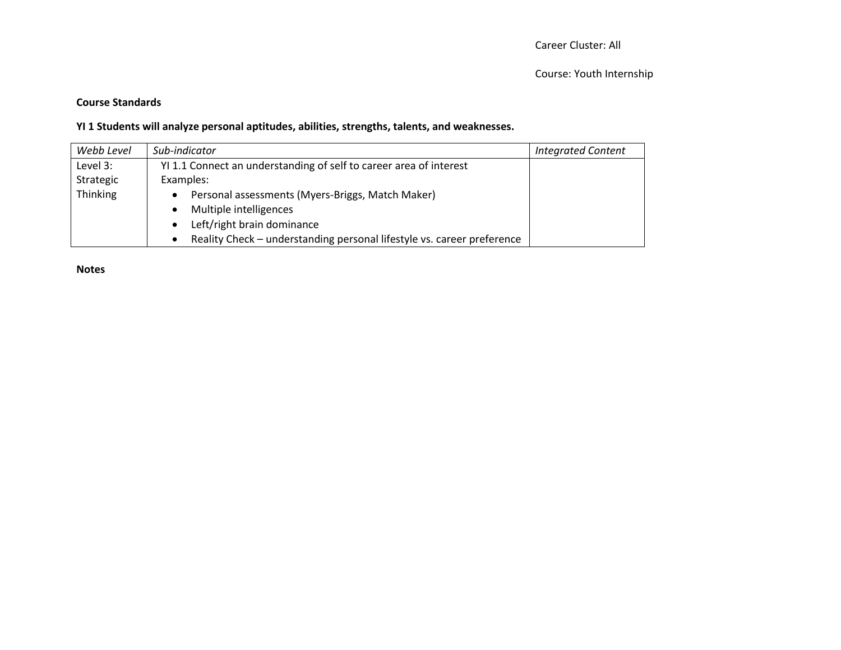# **Course Standards**

# **YI 1 Students will analyze personal aptitudes, abilities, strengths, talents, and weaknesses.**

| Webb Level | Sub-indicator                                                                       | <b>Integrated Content</b> |
|------------|-------------------------------------------------------------------------------------|---------------------------|
| Level 3:   | YI 1.1 Connect an understanding of self to career area of interest                  |                           |
| Strategic  | Examples:                                                                           |                           |
| Thinking   | Personal assessments (Myers-Briggs, Match Maker)<br>$\bullet$                       |                           |
|            | Multiple intelligences<br>$\bullet$                                                 |                           |
|            | Left/right brain dominance                                                          |                           |
|            | Reality Check - understanding personal lifestyle vs. career preference<br>$\bullet$ |                           |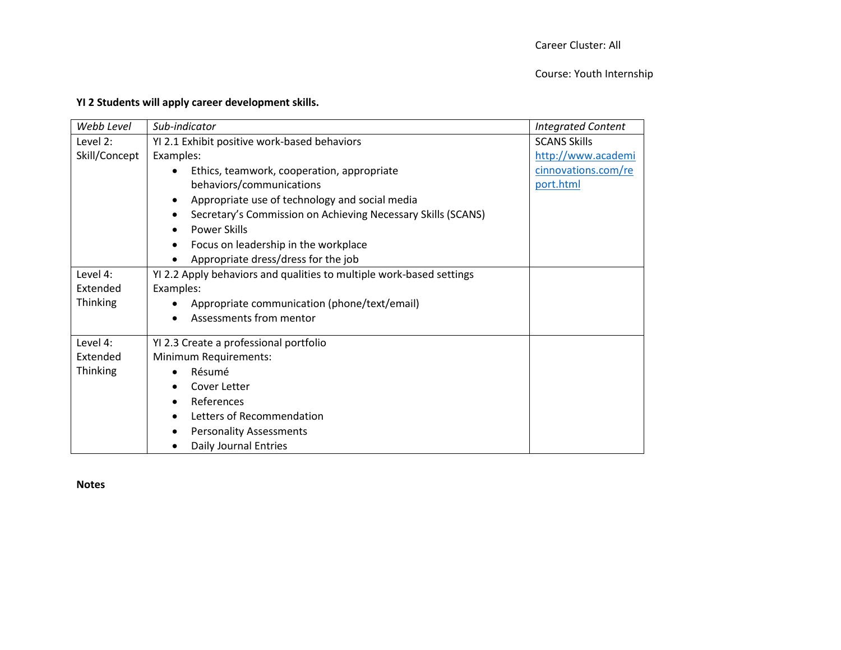#### Course: Youth Internship

|  |  |  |  | YI 2 Students will apply career development skills. |
|--|--|--|--|-----------------------------------------------------|
|--|--|--|--|-----------------------------------------------------|

| Webb Level    | Sub-indicator                                                        | <b>Integrated Content</b> |
|---------------|----------------------------------------------------------------------|---------------------------|
| Level 2:      | YI 2.1 Exhibit positive work-based behaviors                         | <b>SCANS Skills</b>       |
| Skill/Concept | Examples:                                                            | http://www.academi        |
|               | Ethics, teamwork, cooperation, appropriate                           | cinnovations.com/re       |
|               | behaviors/communications                                             | port.html                 |
|               | Appropriate use of technology and social media<br>$\bullet$          |                           |
|               | Secretary's Commission on Achieving Necessary Skills (SCANS)<br>٠    |                           |
|               | <b>Power Skills</b>                                                  |                           |
|               | Focus on leadership in the workplace<br>٠                            |                           |
|               | Appropriate dress/dress for the job<br>$\bullet$                     |                           |
| Level 4:      | YI 2.2 Apply behaviors and qualities to multiple work-based settings |                           |
| Extended      | Examples:                                                            |                           |
| Thinking      | Appropriate communication (phone/text/email)                         |                           |
|               | Assessments from mentor                                              |                           |
| Level 4:      | YI 2.3 Create a professional portfolio                               |                           |
| Extended      | Minimum Requirements:                                                |                           |
| Thinking      | Résumé                                                               |                           |
|               | Cover Letter                                                         |                           |
|               | References                                                           |                           |
|               | Letters of Recommendation<br>$\bullet$                               |                           |
|               | <b>Personality Assessments</b>                                       |                           |
|               | Daily Journal Entries                                                |                           |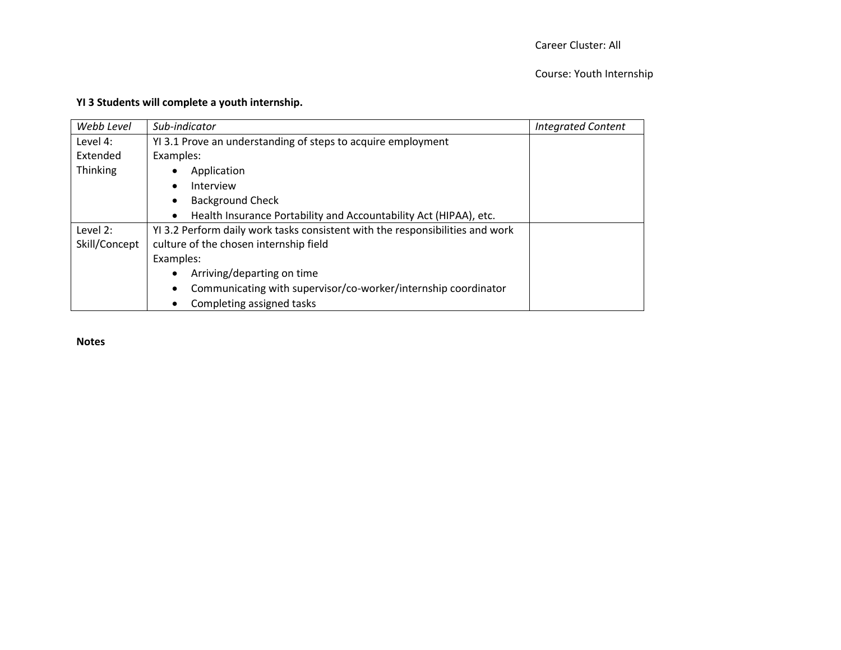# Career Cluster: All

#### Course: Youth Internship

# **YI 3 Students will complete a youth internship.**

| Webb Level      | Sub-indicator                                                                  | <b>Integrated Content</b> |
|-----------------|--------------------------------------------------------------------------------|---------------------------|
| Level 4:        | YI 3.1 Prove an understanding of steps to acquire employment                   |                           |
| Extended        | Examples:                                                                      |                           |
| <b>Thinking</b> | Application                                                                    |                           |
|                 | Interview<br>$\bullet$                                                         |                           |
|                 | <b>Background Check</b><br>$\bullet$                                           |                           |
|                 | Health Insurance Portability and Accountability Act (HIPAA), etc.<br>$\bullet$ |                           |
| Level 2:        | YI 3.2 Perform daily work tasks consistent with the responsibilities and work  |                           |
| Skill/Concept   | culture of the chosen internship field                                         |                           |
|                 | Examples:                                                                      |                           |
|                 | Arriving/departing on time<br>$\bullet$                                        |                           |
|                 | Communicating with supervisor/co-worker/internship coordinator<br>$\bullet$    |                           |
|                 | Completing assigned tasks<br>$\bullet$                                         |                           |